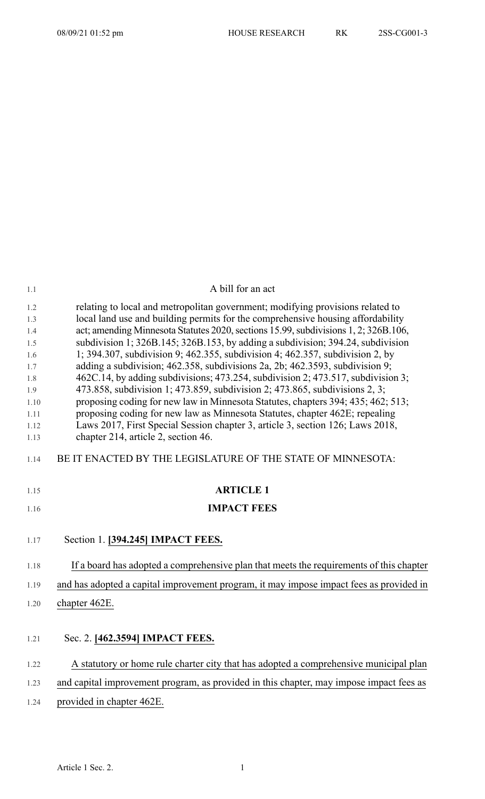| 1.1        | A bill for an act                                                                                                                                             |
|------------|---------------------------------------------------------------------------------------------------------------------------------------------------------------|
| 1.2        | relating to local and metropolitan government; modifying provisions related to                                                                                |
| 1.3        | local land use and building permits for the comprehensive housing affordability                                                                               |
| 1.4        | act; amending Minnesota Statutes 2020, sections 15.99, subdivisions 1, 2; 326B.106,                                                                           |
| 1.5        | subdivision 1; 326B.145; 326B.153, by adding a subdivision; 394.24, subdivision                                                                               |
| 1.6<br>1.7 | 1; 394.307, subdivision 9; 462.355, subdivision 4; 462.357, subdivision 2, by<br>adding a subdivision; 462.358, subdivisions 2a, 2b; 462.3593, subdivision 9; |
| 1.8        | 462C.14, by adding subdivisions; 473.254, subdivision 2; 473.517, subdivision 3;                                                                              |
| 1.9        | 473.858, subdivision 1; 473.859, subdivision 2; 473.865, subdivisions 2, 3;                                                                                   |
| 1.10       | proposing coding for new law in Minnesota Statutes, chapters 394; 435; 462; 513;                                                                              |
| 1.11       | proposing coding for new law as Minnesota Statutes, chapter 462E; repealing                                                                                   |
| 1.12       | Laws 2017, First Special Session chapter 3, article 3, section 126; Laws 2018,                                                                                |
| 1.13       | chapter 214, article 2, section 46.                                                                                                                           |
| 1.14       | BE IT ENACTED BY THE LEGISLATURE OF THE STATE OF MINNESOTA:                                                                                                   |
| 1.15       | <b>ARTICLE 1</b>                                                                                                                                              |
| 1.16       | <b>IMPACT FEES</b>                                                                                                                                            |
| 1.17       | Section 1. [394.245] IMPACT FEES.                                                                                                                             |
| 1.18       | If a board has adopted a comprehensive plan that meets the requirements of this chapter                                                                       |
| 1.19       | and has adopted a capital improvement program, it may impose impact fees as provided in                                                                       |
| 1.20       | chapter 462E.                                                                                                                                                 |
|            |                                                                                                                                                               |
| 1.21       | Sec. 2. [462.3594] IMPACT FEES.                                                                                                                               |
| 1.22       | A statutory or home rule charter city that has adopted a comprehensive municipal plan                                                                         |
| 1.23       | and capital improvement program, as provided in this chapter, may impose impact fees as                                                                       |
|            |                                                                                                                                                               |
| 1.24       | provided in chapter 462E.                                                                                                                                     |
|            |                                                                                                                                                               |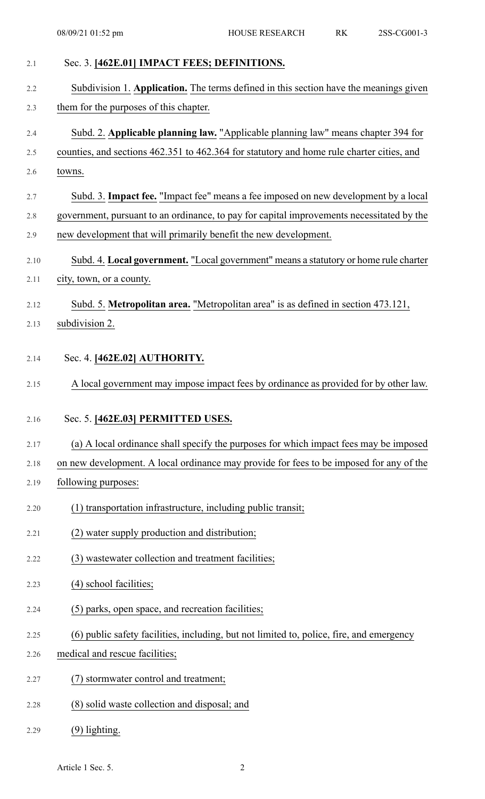| 2.1  | Sec. 3. [462E.01] IMPACT FEES; DEFINITIONS.                                               |
|------|-------------------------------------------------------------------------------------------|
| 2.2  | Subdivision 1. Application. The terms defined in this section have the meanings given     |
| 2.3  | them for the purposes of this chapter.                                                    |
| 2.4  | Subd. 2. Applicable planning law. "Applicable planning law" means chapter 394 for         |
| 2.5  | counties, and sections 462.351 to 462.364 for statutory and home rule charter cities, and |
| 2.6  | towns.                                                                                    |
| 2.7  | Subd. 3. Impact fee. "Impact fee" means a fee imposed on new development by a local       |
| 2.8  | government, pursuant to an ordinance, to pay for capital improvements necessitated by the |
| 2.9  | new development that will primarily benefit the new development.                          |
| 2.10 | Subd. 4. Local government. "Local government" means a statutory or home rule charter      |
| 2.11 | city, town, or a county.                                                                  |
| 2.12 | Subd. 5. Metropolitan area. "Metropolitan area" is as defined in section 473.121,         |
| 2.13 | subdivision 2.                                                                            |
| 2.14 | Sec. 4. [462E.02] AUTHORITY.                                                              |
|      |                                                                                           |
| 2.15 | A local government may impose impact fees by ordinance as provided for by other law.      |
| 2.16 | Sec. 5. [462E.03] PERMITTED USES.                                                         |
| 2.17 | (a) A local ordinance shall specify the purposes for which impact fees may be imposed     |
| 2.18 | on new development. A local ordinance may provide for fees to be imposed for any of the   |
| 2.19 | following purposes:                                                                       |
| 2.20 | (1) transportation infrastructure, including public transit;                              |
| 2.21 | (2) water supply production and distribution;                                             |
| 2.22 | (3) wastewater collection and treatment facilities;                                       |
| 2.23 | (4) school facilities;                                                                    |
| 2.24 | (5) parks, open space, and recreation facilities;                                         |
| 2.25 | (6) public safety facilities, including, but not limited to, police, fire, and emergency  |
| 2.26 | medical and rescue facilities;                                                            |
| 2.27 | (7) stormwater control and treatment;                                                     |
| 2.28 | (8) solid waste collection and disposal; and                                              |
| 2.29 | $(9)$ lighting.                                                                           |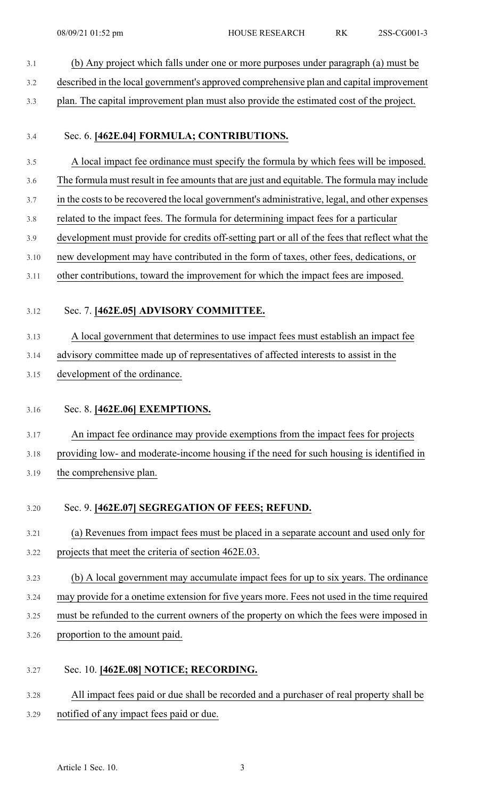3.1 (b) Any project which falls under one or more purposes under paragraph (a) must be 3.2 described in the local government's approved comprehensive plan and capital improvement 3.3 plan. The capital improvement plan must also provide the estimated cost of the project. 3.4 Sec. 6. **[462E.04] FORMULA; CONTRIBUTIONS.** 3.5 A local impact fee ordinance must specify the formula by which fees will be imposed. 3.6 The formula must result in fee amounts that are just and equitable. The formula may include 3.7 in the costs to be recovered the local government's administrative, legal, and other expenses 3.8 related to the impact fees. The formula for determining impact fees for a particular 3.9 development must provide for credits off-setting part or all of the fees that reflect what the 3.10 new development may have contributed in the form of taxes, other fees, dedications, or 3.11 other contributions, toward the improvement for which the impact fees are imposed. 3.12 Sec. 7. **[462E.05] ADVISORY COMMITTEE.** 3.13 A local government that determines to use impact fees must establish an impact fee 3.14 advisory committee made up of representatives of affected interests to assist in the 3.15 development of the ordinance. 3.16 Sec. 8. **[462E.06] EXEMPTIONS.** 3.17 An impact fee ordinance may provide exemptions from the impact fees for projects 3.18 providing low- and moderate-income housing if the need for such housing is identified in 3.19 the comprehensive plan. 3.20 Sec. 9. **[462E.07] SEGREGATION OF FEES; REFUND.** 3.21 (a) Revenues from impact fees must be placed in a separate account and used only for 3.22 projects that meet the criteria of section 462E.03. 3.23 (b) A local government may accumulate impact fees for up to six years. The ordinance 3.24 may provide for a onetime extension for five years more. Fees not used in the time required 3.25 must be refunded to the current owners of the property on which the fees were imposed in 3.26 proportion to the amount paid. 3.27 Sec. 10. **[462E.08] NOTICE; RECORDING.** 3.28 All impact fees paid or due shall be recorded and a purchaser of real property shall be 3.29 notified of any impact fees paid or due.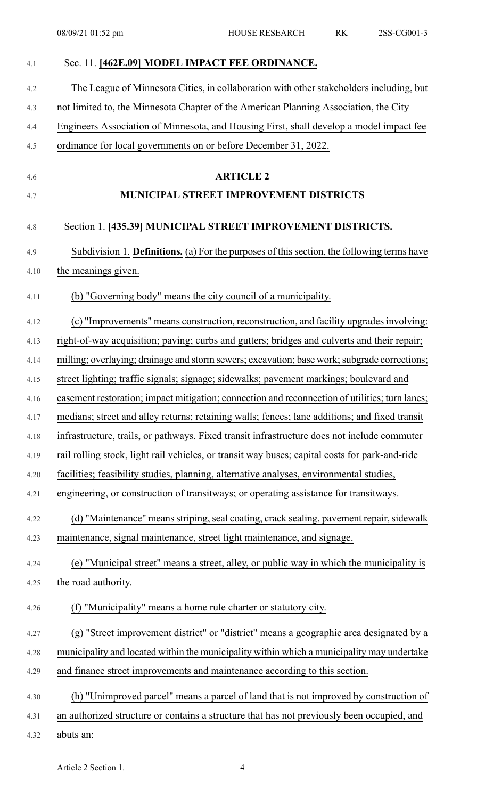| 4.1        | Sec. 11. [462E.09] MODEL IMPACT FEE ORDINANCE.                                                 |
|------------|------------------------------------------------------------------------------------------------|
| 4.2        | The League of Minnesota Cities, in collaboration with other stakeholders including, but        |
| 4.3        | not limited to, the Minnesota Chapter of the American Planning Association, the City           |
| 4.4        | Engineers Association of Minnesota, and Housing First, shall develop a model impact fee        |
| 4.5        | ordinance for local governments on or before December 31, 2022.                                |
|            |                                                                                                |
| 4.6<br>4.7 | <b>ARTICLE 2</b><br><b>MUNICIPAL STREET IMPROVEMENT DISTRICTS</b>                              |
|            |                                                                                                |
| 4.8        | Section 1. [435.39] MUNICIPAL STREET IMPROVEMENT DISTRICTS.                                    |
| 4.9        | Subdivision 1. Definitions. (a) For the purposes of this section, the following terms have     |
| 4.10       | the meanings given.                                                                            |
| 4.11       | (b) "Governing body" means the city council of a municipality.                                 |
| 4.12       | (c) "Improvements" means construction, reconstruction, and facility upgrades involving:        |
| 4.13       | right-of-way acquisition; paving; curbs and gutters; bridges and culverts and their repair;    |
| 4.14       | milling; overlaying; drainage and storm sewers; excavation; base work; subgrade corrections;   |
| 4.15       | street lighting; traffic signals; signage; sidewalks; pavement markings; boulevard and         |
| 4.16       | easement restoration; impact mitigation; connection and reconnection of utilities; turn lanes; |
| 4.17       | medians; street and alley returns; retaining walls; fences; lane additions; and fixed transit  |
| 4.18       | infrastructure, trails, or pathways. Fixed transit infrastructure does not include commuter    |
| 4.19       | rail rolling stock, light rail vehicles, or transit way buses; capital costs for park-and-ride |
| 4.20       | facilities; feasibility studies, planning, alternative analyses, environmental studies,        |
| 4.21       | engineering, or construction of transitways; or operating assistance for transitways.          |
| 4.22       | (d) "Maintenance" means striping, seal coating, crack sealing, pavement repair, sidewalk       |
| 4.23       | maintenance, signal maintenance, street light maintenance, and signage.                        |
| 4.24       | (e) "Municipal street" means a street, alley, or public way in which the municipality is       |
| 4.25       | the road authority.                                                                            |
| 4.26       | (f) "Municipality" means a home rule charter or statutory city.                                |
| 4.27       | (g) "Street improvement district" or "district" means a geographic area designated by a        |
| 4.28       | municipality and located within the municipality within which a municipality may undertake     |
| 4.29       | and finance street improvements and maintenance according to this section.                     |
| 4.30       | (h) "Unimproved parcel" means a parcel of land that is not improved by construction of         |
| 4.31       | an authorized structure or contains a structure that has not previously been occupied, and     |
| 4.32       | abuts an:                                                                                      |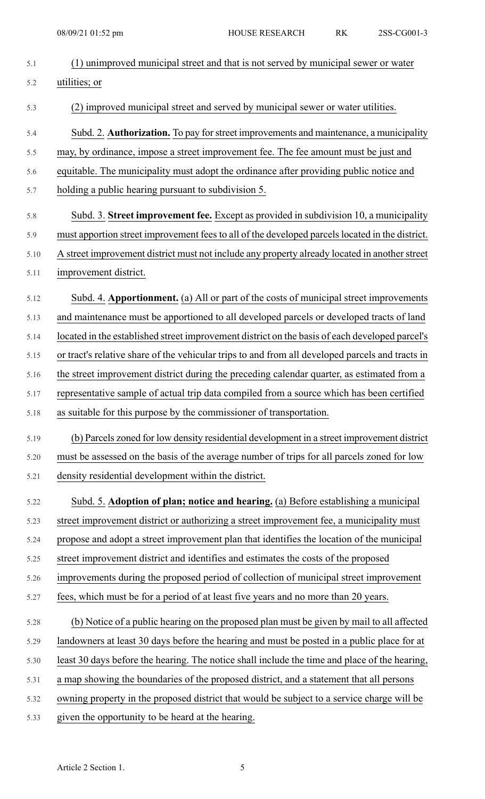| 5.1  | (1) unimproved municipal street and that is not served by municipal sewer or water               |
|------|--------------------------------------------------------------------------------------------------|
| 5.2  | utilities; or                                                                                    |
| 5.3  | (2) improved municipal street and served by municipal sewer or water utilities.                  |
| 5.4  | Subd. 2. <b>Authorization.</b> To pay for street improvements and maintenance, a municipality    |
| 5.5  | may, by ordinance, impose a street improvement fee. The fee amount must be just and              |
| 5.6  | equitable. The municipality must adopt the ordinance after providing public notice and           |
| 5.7  | holding a public hearing pursuant to subdivision 5.                                              |
| 5.8  | Subd. 3. Street improvement fee. Except as provided in subdivision 10, a municipality            |
| 5.9  | must apportion street improvement fees to all of the developed parcels located in the district.  |
| 5.10 | A street improvement district must not include any property already located in another street    |
| 5.11 | improvement district.                                                                            |
| 5.12 | Subd. 4. Apportionment. (a) All or part of the costs of municipal street improvements            |
| 5.13 | and maintenance must be apportioned to all developed parcels or developed tracts of land         |
| 5.14 | located in the established street improvement district on the basis of each developed parcel's   |
| 5.15 | or tract's relative share of the vehicular trips to and from all developed parcels and tracts in |
| 5.16 | the street improvement district during the preceding calendar quarter, as estimated from a       |
| 5.17 | representative sample of actual trip data compiled from a source which has been certified        |
| 5.18 | as suitable for this purpose by the commissioner of transportation.                              |
| 5.19 | (b) Parcels zoned for low density residential development in a street improvement district       |
| 5.20 | must be assessed on the basis of the average number of trips for all parcels zoned for low       |
| 5.21 | density residential development within the district.                                             |
| 5.22 | Subd. 5. Adoption of plan; notice and hearing. (a) Before establishing a municipal               |
| 5.23 | street improvement district or authorizing a street improvement fee, a municipality must         |
| 5.24 | propose and adopt a street improvement plan that identifies the location of the municipal        |
| 5.25 | street improvement district and identifies and estimates the costs of the proposed               |
| 5.26 | improvements during the proposed period of collection of municipal street improvement            |
| 5.27 | fees, which must be for a period of at least five years and no more than 20 years.               |
| 5.28 | (b) Notice of a public hearing on the proposed plan must be given by mail to all affected        |
| 5.29 | landowners at least 30 days before the hearing and must be posted in a public place for at       |
| 5.30 | least 30 days before the hearing. The notice shall include the time and place of the hearing,    |
| 5.31 | a map showing the boundaries of the proposed district, and a statement that all persons          |
| 5.32 | owning property in the proposed district that would be subject to a service charge will be       |
| 5.33 | given the opportunity to be heard at the hearing.                                                |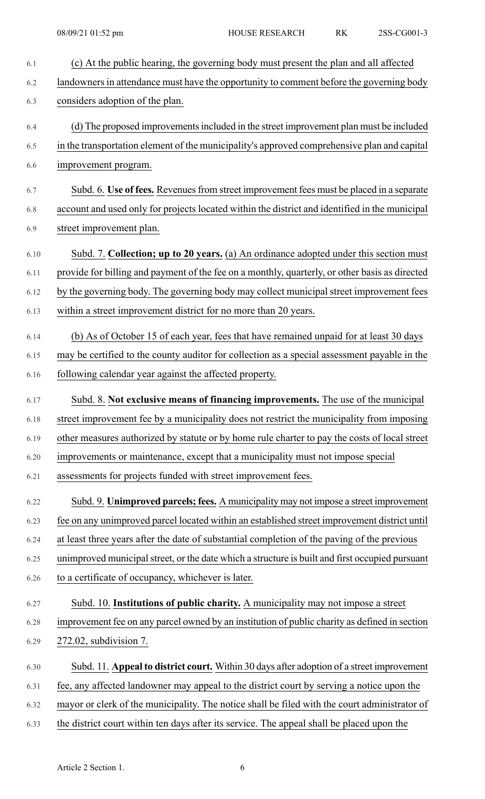| 6.1  | (c) At the public hearing, the governing body must present the plan and all affected            |
|------|-------------------------------------------------------------------------------------------------|
| 6.2  | landowners in attendance must have the opportunity to comment before the governing body         |
| 6.3  | considers adoption of the plan.                                                                 |
| 6.4  | (d) The proposed improvements included in the street improvement plan must be included          |
| 6.5  | in the transportation element of the municipality's approved comprehensive plan and capital     |
| 6.6  | improvement program.                                                                            |
| 6.7  | Subd. 6. Use of fees. Revenues from street improvement fees must be placed in a separate        |
| 6.8  | account and used only for projects located within the district and identified in the municipal  |
| 6.9  | street improvement plan.                                                                        |
| 6.10 | Subd. 7. Collection; up to 20 years. (a) An ordinance adopted under this section must           |
| 6.11 | provide for billing and payment of the fee on a monthly, quarterly, or other basis as directed  |
| 6.12 | by the governing body. The governing body may collect municipal street improvement fees         |
| 6.13 | within a street improvement district for no more than 20 years.                                 |
| 6.14 | (b) As of October 15 of each year, fees that have remained unpaid for at least 30 days          |
| 6.15 | may be certified to the county auditor for collection as a special assessment payable in the    |
| 6.16 | following calendar year against the affected property.                                          |
| 6.17 | Subd. 8. Not exclusive means of financing improvements. The use of the municipal                |
| 6.18 | street improvement fee by a municipality does not restrict the municipality from imposing       |
| 6.19 | other measures authorized by statute or by home rule charter to pay the costs of local street   |
| 6.20 | improvements or maintenance, except that a municipality must not impose special                 |
| 6.21 | assessments for projects funded with street improvement fees.                                   |
| 6.22 | Subd. 9. Unimproved parcels; fees. A municipality may not impose a street improvement           |
| 6.23 | fee on any unimproved parcel located within an established street improvement district until    |
| 6.24 | at least three years after the date of substantial completion of the paving of the previous     |
| 6.25 | unimproved municipal street, or the date which a structure is built and first occupied pursuant |
| 6.26 | to a certificate of occupancy, whichever is later.                                              |
| 6.27 | Subd. 10. Institutions of public charity. A municipality may not impose a street                |
| 6.28 | improvement fee on any parcel owned by an institution of public charity as defined in section   |
| 6.29 | 272.02, subdivision 7.                                                                          |
| 6.30 | Subd. 11. Appeal to district court. Within 30 days after adoption of a street improvement       |
| 6.31 | fee, any affected landowner may appeal to the district court by serving a notice upon the       |
| 6.32 | mayor or clerk of the municipality. The notice shall be filed with the court administrator of   |
| 6.33 | the district court within ten days after its service. The appeal shall be placed upon the       |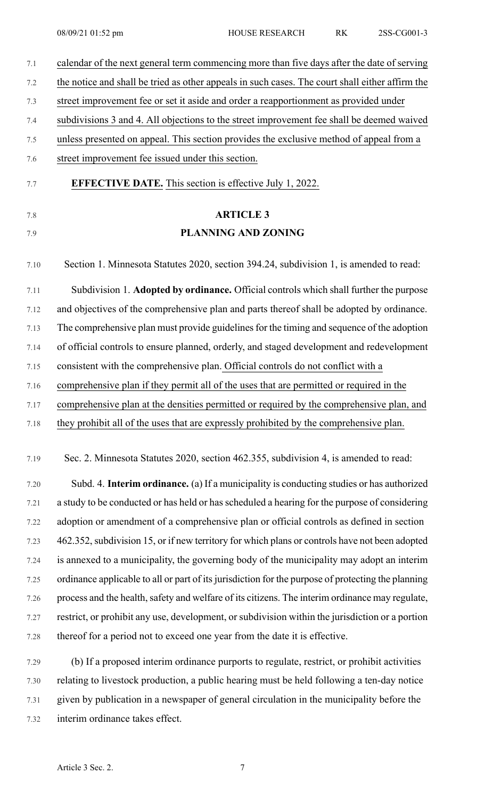| 7.1     | calendar of the next general term commencing more than five days after the date of serving         |
|---------|----------------------------------------------------------------------------------------------------|
| 7.2     | the notice and shall be tried as other appeals in such cases. The court shall either affirm the    |
| 7.3     | street improvement fee or set it aside and order a reapportionment as provided under               |
| 7.4     | subdivisions 3 and 4. All objections to the street improvement fee shall be deemed waived          |
| $7.5\,$ | unless presented on appeal. This section provides the exclusive method of appeal from a            |
| 7.6     | street improvement fee issued under this section.                                                  |
| 7.7     | <b>EFFECTIVE DATE.</b> This section is effective July 1, 2022.                                     |
| 7.8     | <b>ARTICLE 3</b>                                                                                   |
| 7.9     | <b>PLANNING AND ZONING</b>                                                                         |
| 7.10    | Section 1. Minnesota Statutes 2020, section 394.24, subdivision 1, is amended to read:             |
| 7.11    | Subdivision 1. Adopted by ordinance. Official controls which shall further the purpose             |
| 7.12    | and objectives of the comprehensive plan and parts thereof shall be adopted by ordinance.          |
| 7.13    | The comprehensive plan must provide guidelines for the timing and sequence of the adoption         |
| 7.14    | of official controls to ensure planned, orderly, and staged development and redevelopment          |
| 7.15    | consistent with the comprehensive plan. Official controls do not conflict with a                   |
| 7.16    | comprehensive plan if they permit all of the uses that are permitted or required in the            |
| 7.17    | comprehensive plan at the densities permitted or required by the comprehensive plan, and           |
| 7.18    | they prohibit all of the uses that are expressly prohibited by the comprehensive plan.             |
| 7.19    | Sec. 2. Minnesota Statutes 2020, section 462.355, subdivision 4, is amended to read:               |
| 7.20    | Subd. 4. Interim ordinance. (a) If a municipality is conducting studies or has authorized          |
| 7.21    | a study to be conducted or has held or has scheduled a hearing for the purpose of considering      |
| 7.22    | adoption or amendment of a comprehensive plan or official controls as defined in section           |
| 7.23    | 462.352, subdivision 15, or if new territory for which plans or controls have not been adopted     |
| 7.24    | is annexed to a municipality, the governing body of the municipality may adopt an interim          |
| 7.25    | ordinance applicable to all or part of its jurisdiction for the purpose of protecting the planning |
| 7.26    | process and the health, safety and welfare of its citizens. The interim ordinance may regulate,    |
| 7.27    | restrict, or prohibit any use, development, or subdivision within the jurisdiction or a portion    |
| 7.28    | thereof for a period not to exceed one year from the date it is effective.                         |
| 7.29    | (b) If a proposed interim ordinance purports to regulate, restrict, or prohibit activities         |
| 7.30    | relating to livestock production, a public hearing must be held following a ten-day notice         |
|         |                                                                                                    |

7.31 given by publication in a newspaper of general circulation in the municipality before the 7.32 interim ordinance takes effect.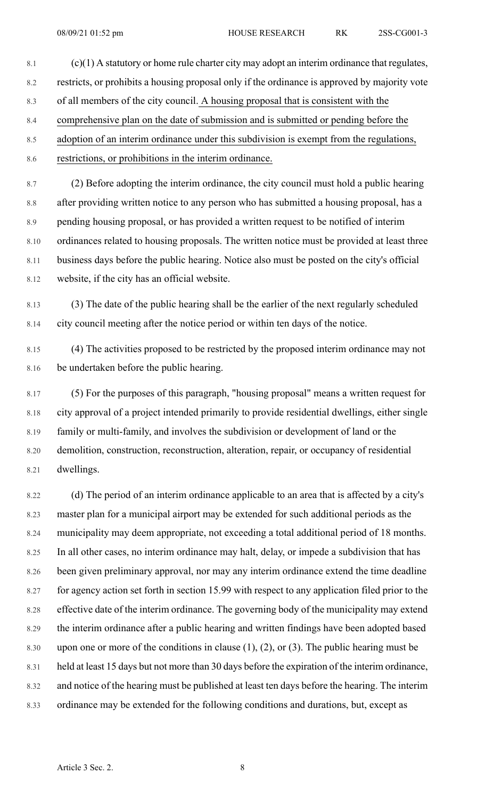- 8.1  $(c)(1)$  A statutory or home rule charter city may adopt an interim ordinance that regulates, 8.2 restricts, or prohibits a housing proposal only if the ordinance is approved by majority vote 8.3 of all members of the city council. A housing proposal that is consistent with the 8.4 comprehensive plan on the date of submission and is submitted or pending before the 8.5 adoption of an interim ordinance under this subdivision is exempt from the regulations,
- 8.6 restrictions, or prohibitions in the interim ordinance.

8.7 (2) Before adopting the interim ordinance, the city council must hold a public hearing 8.8 after providing written notice to any person who has submitted a housing proposal, has a 8.9 pending housing proposal, or has provided a written request to be notified of interim 8.10 ordinances related to housing proposals. The written notice must be provided at least three 8.11 business days before the public hearing. Notice also must be posted on the city's official 8.12 website, if the city has an official website.

8.13 (3) The date of the public hearing shall be the earlier of the next regularly scheduled 8.14 city council meeting after the notice period or within ten days of the notice.

8.15 (4) The activities proposed to be restricted by the proposed interim ordinance may not 8.16 be undertaken before the public hearing.

8.17 (5) For the purposes of this paragraph, "housing proposal" means a written request for 8.18 city approval of a project intended primarily to provide residential dwellings, either single 8.19 family or multi-family, and involves the subdivision or development of land or the 8.20 demolition, construction, reconstruction, alteration, repair, or occupancy of residential 8.21 dwellings.

8.22 (d) The period of an interim ordinance applicable to an area that is affected by a city's 8.23 master plan for a municipal airport may be extended for such additional periods as the 8.24 municipality may deem appropriate, not exceeding a total additional period of 18 months. 8.25 In all other cases, no interim ordinance may halt, delay, or impede a subdivision that has 8.26 been given preliminary approval, nor may any interim ordinance extend the time deadline 8.27 for agency action set forth in section 15.99 with respect to any application filed prior to the 8.28 effective date of the interim ordinance. The governing body of the municipality may extend 8.29 the interim ordinance after a public hearing and written findings have been adopted based 8.30 upon one or more of the conditions in clause  $(1)$ ,  $(2)$ , or  $(3)$ . The public hearing must be 8.31 held at least 15 days but not more than 30 days before the expiration of the interim ordinance, 8.32 and notice of the hearing must be published at least ten days before the hearing. The interim 8.33 ordinance may be extended for the following conditions and durations, but, except as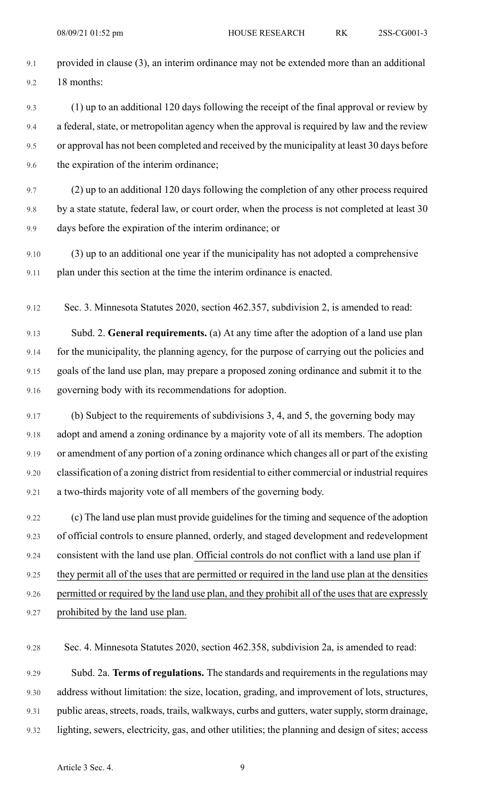- 9.1 provided in clause (3), an interim ordinance may not be extended more than an additional 9.2 18 months:
- 9.3 (1) up to an additional 120 days following the receipt of the final approval or review by 9.4 a federal, state, or metropolitan agency when the approval is required by law and the review 9.5 or approval has not been completed and received by the municipality at least 30 days before 9.6 the expiration of the interim ordinance;
- 9.7 (2) up to an additional 120 days following the completion of any other process required 9.8 by a state statute, federal law, or court order, when the process is not completed at least 30 9.9 days before the expiration of the interim ordinance; or
- 9.10 (3) up to an additional one year if the municipality has not adopted a comprehensive 9.11 plan under this section at the time the interim ordinance is enacted.
- 9.12 Sec. 3. Minnesota Statutes 2020, section 462.357, subdivision 2, is amended to read:

9.13 Subd. 2. **General requirements.** (a) At any time after the adoption of a land use plan 9.14 for the municipality, the planning agency, for the purpose of carrying out the policies and 9.15 goals of the land use plan, may prepare a proposed zoning ordinance and submit it to the 9.16 governing body with its recommendations for adoption.

9.17 (b) Subject to the requirements of subdivisions 3, 4, and 5, the governing body may 9.18 adopt and amend a zoning ordinance by a majority vote of all its members. The adoption 9.19 or amendment of any portion of a zoning ordinance which changes all or part of the existing 9.20 classification of a zoning district from residential to either commercial or industrial requires 9.21 a two-thirds majority vote of all members of the governing body.

9.22 (c) The land use plan must provide guidelines for the timing and sequence of the adoption 9.23 of official controls to ensure planned, orderly, and staged development and redevelopment 9.24 consistent with the land use plan. Official controls do not conflict with a land use plan if 9.25 they permit all of the uses that are permitted or required in the land use plan at the densities 9.26 permitted or required by the land use plan, and they prohibit all of the uses that are expressly 9.27 prohibited by the land use plan.

9.28 Sec. 4. Minnesota Statutes 2020, section 462.358, subdivision 2a, is amended to read:

9.29 Subd. 2a. **Terms of regulations.** The standards and requirementsin the regulations may 9.30 address without limitation: the size, location, grading, and improvement of lots, structures, 9.31 public areas, streets, roads, trails, walkways, curbs and gutters, water supply, storm drainage, 9.32 lighting, sewers, electricity, gas, and other utilities; the planning and design of sites; access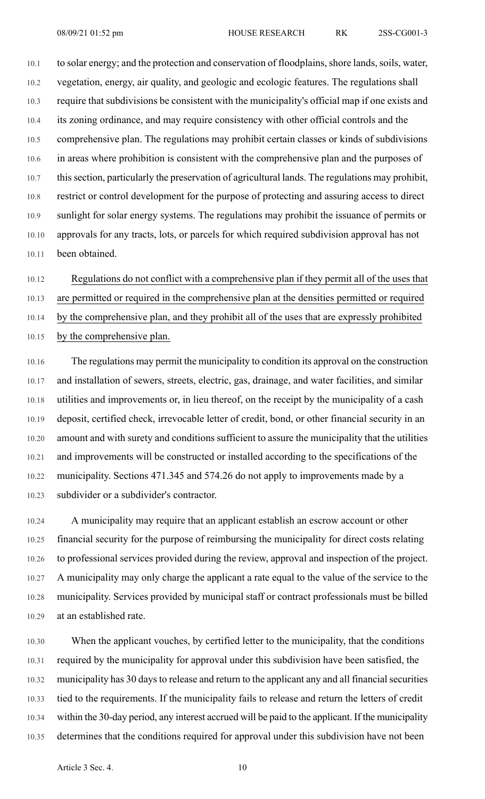10.1 to solar energy; and the protection and conservation of floodplains, shore lands, soils, water, 10.2 vegetation, energy, air quality, and geologic and ecologic features. The regulations shall 10.3 require that subdivisions be consistent with the municipality's official map if one exists and 10.4 its zoning ordinance, and may require consistency with other official controls and the 10.5 comprehensive plan. The regulations may prohibit certain classes or kinds of subdivisions 10.6 in areas where prohibition is consistent with the comprehensive plan and the purposes of 10.7 thissection, particularly the preservation of agricultural lands. The regulations may prohibit, 10.8 restrict or control development for the purpose of protecting and assuring access to direct 10.9 sunlight for solar energy systems. The regulations may prohibit the issuance of permits or 10.10 approvals for any tracts, lots, or parcels for which required subdivision approval has not 10.11 been obtained.

10.12 Regulations do not conflict with a comprehensive plan if they permit all of the uses that 10.13 are permitted or required in the comprehensive plan at the densities permitted or required 10.14 by the comprehensive plan, and they prohibit all of the uses that are expressly prohibited 10.15 by the comprehensive plan.

10.16 The regulations may permit the municipality to condition its approval on the construction 10.17 and installation of sewers, streets, electric, gas, drainage, and water facilities, and similar 10.18 utilities and improvements or, in lieu thereof, on the receipt by the municipality of a cash 10.19 deposit, certified check, irrevocable letter of credit, bond, or other financial security in an 10.20 amount and with surety and conditions sufficient to assure the municipality that the utilities 10.21 and improvements will be constructed or installed according to the specifications of the 10.22 municipality. Sections 471.345 and 574.26 do not apply to improvements made by a 10.23 subdivider or a subdivider's contractor.

10.24 A municipality may require that an applicant establish an escrow account or other 10.25 financial security for the purpose of reimbursing the municipality for direct costs relating 10.26 to professional services provided during the review, approval and inspection of the project. 10.27 A municipality may only charge the applicant a rate equal to the value of the service to the 10.28 municipality. Services provided by municipal staff or contract professionals must be billed 10.29 at an established rate.

10.30 When the applicant vouches, by certified letter to the municipality, that the conditions 10.31 required by the municipality for approval under this subdivision have been satisfied, the 10.32 municipality has 30 days to release and return to the applicant any and all financial securities 10.33 tied to the requirements. If the municipality fails to release and return the letters of credit 10.34 within the 30-day period, any interest accrued will be paid to the applicant. If the municipality 10.35 determines that the conditions required for approval under this subdivision have not been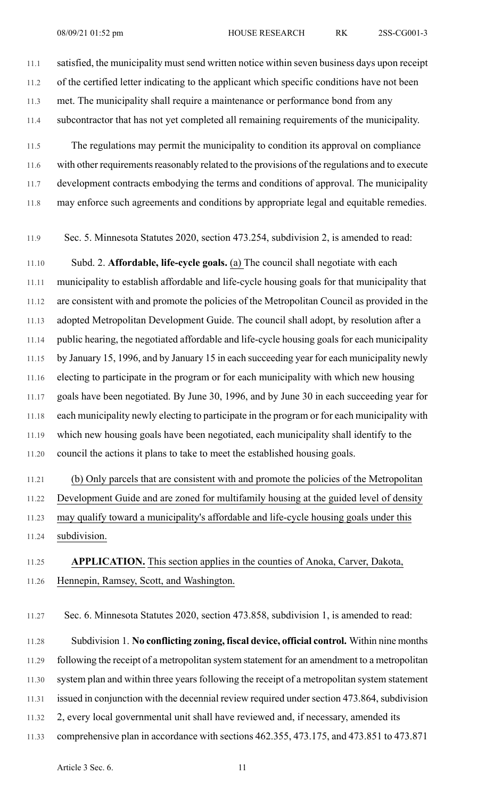11.1 satisfied, the municipality must send written notice within seven business days upon receipt 11.2 of the certified letter indicating to the applicant which specific conditions have not been 11.3 met. The municipality shall require a maintenance or performance bond from any 11.4 subcontractor that has not yet completed all remaining requirements of the municipality.

11.5 The regulations may permit the municipality to condition its approval on compliance 11.6 with other requirements reasonably related to the provisions of the regulations and to execute 11.7 development contracts embodying the terms and conditions of approval. The municipality 11.8 may enforce such agreements and conditions by appropriate legal and equitable remedies.

11.9 Sec. 5. Minnesota Statutes 2020, section 473.254, subdivision 2, is amended to read:

11.10 Subd. 2. **Affordable, life-cycle goals.** (a) The council shall negotiate with each 11.11 municipality to establish affordable and life-cycle housing goals for that municipality that 11.12 are consistent with and promote the policies of the Metropolitan Council as provided in the 11.13 adopted Metropolitan Development Guide. The council shall adopt, by resolution after a 11.14 public hearing, the negotiated affordable and life-cycle housing goals for each municipality 11.15 by January 15, 1996, and by January 15 in each succeeding year for each municipality newly 11.16 electing to participate in the program or for each municipality with which new housing 11.17 goals have been negotiated. By June 30, 1996, and by June 30 in each succeeding year for 11.18 each municipality newly electing to participate in the program or for each municipality with 11.19 which new housing goals have been negotiated, each municipality shall identify to the 11.20 council the actions it plans to take to meet the established housing goals.

11.21 (b) Only parcels that are consistent with and promote the policies of the Metropolitan 11.22 Development Guide and are zoned for multifamily housing at the guided level of density 11.23 may qualify toward a municipality's affordable and life-cycle housing goals under this 11.24 subdivision.

## 11.25 **APPLICATION.** This section applies in the counties of Anoka, Carver, Dakota, 11.26 Hennepin, Ramsey, Scott, and Washington.

11.27 Sec. 6. Minnesota Statutes 2020, section 473.858, subdivision 1, is amended to read: 11.28 Subdivision 1. **No conflicting zoning, fiscal device, official control.** Within nine months 11.29 following the receipt of a metropolitan system statement for an amendment to a metropolitan 11.30 system plan and within three years following the receipt of a metropolitan system statement 11.31 issued in conjunction with the decennial review required under section 473.864, subdivision 11.32 2, every local governmental unit shall have reviewed and, if necessary, amended its 11.33 comprehensive plan in accordance with sections 462.355, 473.175, and 473.851 to 473.871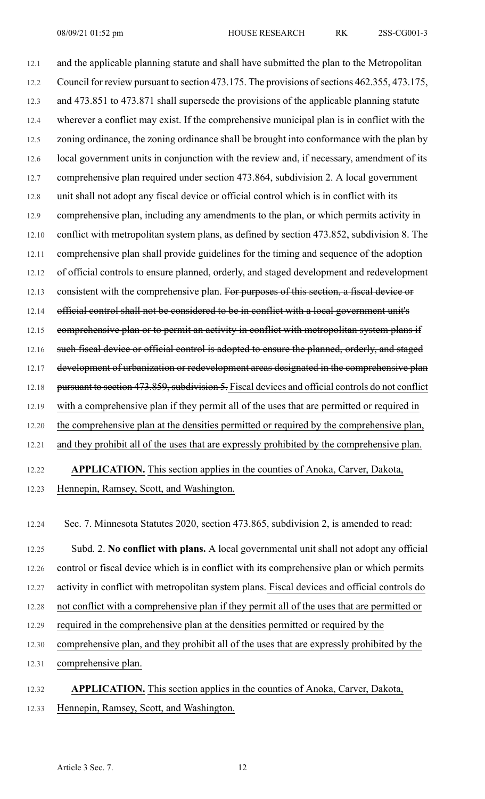12.1 and the applicable planning statute and shall have submitted the plan to the Metropolitan 12.2 Council for review pursuant to section 473.175. The provisions of sections 462.355, 473.175, 12.3 and 473.851 to 473.871 shall supersede the provisions of the applicable planning statute 12.4 wherever a conflict may exist. If the comprehensive municipal plan is in conflict with the 12.5 zoning ordinance, the zoning ordinance shall be brought into conformance with the plan by 12.6 local government units in conjunction with the review and, if necessary, amendment of its 12.7 comprehensive plan required under section 473.864, subdivision 2. A local government 12.8 unit shall not adopt any fiscal device or official control which is in conflict with its 12.9 comprehensive plan, including any amendments to the plan, or which permits activity in 12.10 conflict with metropolitan system plans, as defined by section 473.852, subdivision 8. The 12.11 comprehensive plan shall provide guidelines for the timing and sequence of the adoption 12.12 of official controls to ensure planned, orderly, and staged development and redevelopment 12.13 consistent with the comprehensive plan. For purposes of this section, a fiscal device or 12.14 official control shall not be considered to be in conflict with a local government unit's 12.15 comprehensive plan or to permit an activity in conflict with metropolitan system plans if 12.16 such fiscal device or official control is adopted to ensure the planned, orderly, and staged 12.17 development of urbanization or redevelopment areas designated in the comprehensive plan 12.18 pursuant to section 473.859, subdivision 5. Fiscal devices and official controls do not conflict 12.19 with a comprehensive plan if they permit all of the uses that are permitted or required in 12.20 the comprehensive plan at the densities permitted or required by the comprehensive plan, 12.21 and they prohibit all of the uses that are expressly prohibited by the comprehensive plan. 12.22 **APPLICATION.** This section applies in the counties of Anoka, Carver, Dakota,

12.23 Hennepin, Ramsey, Scott, and Washington.

12.24 Sec. 7. Minnesota Statutes 2020, section 473.865, subdivision 2, is amended to read:

12.25 Subd. 2. **No conflict with plans.** A local governmental unit shall not adopt any official 12.26 control or fiscal device which is in conflict with its comprehensive plan or which permits 12.27 activity in conflict with metropolitan system plans. Fiscal devices and official controls do 12.28 not conflict with a comprehensive plan if they permit all of the uses that are permitted or 12.29 required in the comprehensive plan at the densities permitted or required by the 12.30 comprehensive plan, and they prohibit all of the uses that are expressly prohibited by the 12.31 comprehensive plan.

12.32 **APPLICATION.** This section applies in the counties of Anoka, Carver, Dakota, 12.33 Hennepin, Ramsey, Scott, and Washington.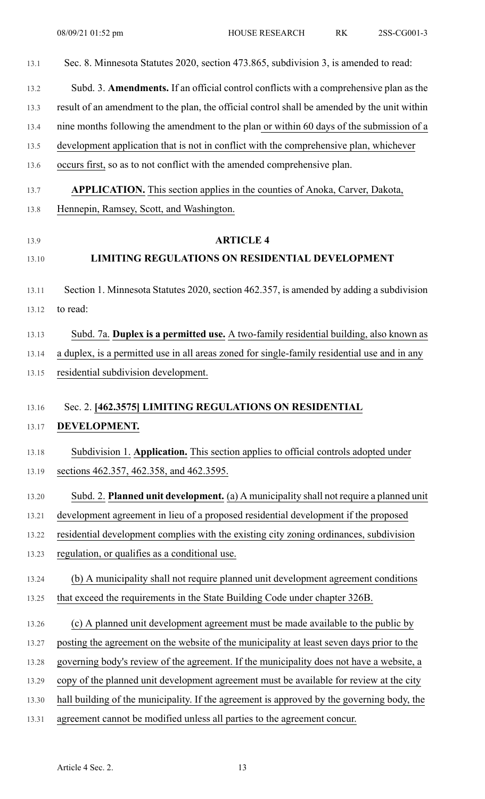| 13.1  | Sec. 8. Minnesota Statutes 2020, section 473.865, subdivision 3, is amended to read:         |
|-------|----------------------------------------------------------------------------------------------|
| 13.2  | Subd. 3. Amendments. If an official control conflicts with a comprehensive plan as the       |
| 13.3  | result of an amendment to the plan, the official control shall be amended by the unit within |
| 13.4  | nine months following the amendment to the plan or within 60 days of the submission of a     |
| 13.5  | development application that is not in conflict with the comprehensive plan, whichever       |
| 13.6  | occurs first, so as to not conflict with the amended comprehensive plan.                     |
| 13.7  | <b>APPLICATION.</b> This section applies in the counties of Anoka, Carver, Dakota,           |
| 13.8  | Hennepin, Ramsey, Scott, and Washington.                                                     |
| 13.9  | <b>ARTICLE 4</b>                                                                             |
| 13.10 | <b>LIMITING REGULATIONS ON RESIDENTIAL DEVELOPMENT</b>                                       |
| 13.11 | Section 1. Minnesota Statutes 2020, section 462.357, is amended by adding a subdivision      |
| 13.12 | to read:                                                                                     |
| 13.13 | Subd. 7a. Duplex is a permitted use. A two-family residential building, also known as        |
| 13.14 | a duplex, is a permitted use in all areas zoned for single-family residential use and in any |
| 13.15 | residential subdivision development.                                                         |
| 13.16 | Sec. 2. [462.3575] LIMITING REGULATIONS ON RESIDENTIAL                                       |
| 13.17 | DEVELOPMENT.                                                                                 |
| 13.18 | Subdivision 1. Application. This section applies to official controls adopted under          |
| 13.19 | sections 462.357, 462.358, and 462.3595.                                                     |
| 13.20 | Subd. 2. Planned unit development. (a) A municipality shall not require a planned unit       |
| 13.21 | development agreement in lieu of a proposed residential development if the proposed          |
| 13.22 | residential development complies with the existing city zoning ordinances, subdivision       |
| 13.23 | regulation, or qualifies as a conditional use.                                               |
| 13.24 | (b) A municipality shall not require planned unit development agreement conditions           |
| 13.25 | that exceed the requirements in the State Building Code under chapter 326B.                  |
| 13.26 | (c) A planned unit development agreement must be made available to the public by             |
| 13.27 | posting the agreement on the website of the municipality at least seven days prior to the    |
| 13.28 | governing body's review of the agreement. If the municipality does not have a website, a     |
| 13.29 | copy of the planned unit development agreement must be available for review at the city      |
| 13.30 | hall building of the municipality. If the agreement is approved by the governing body, the   |
| 13.31 | agreement cannot be modified unless all parties to the agreement concur.                     |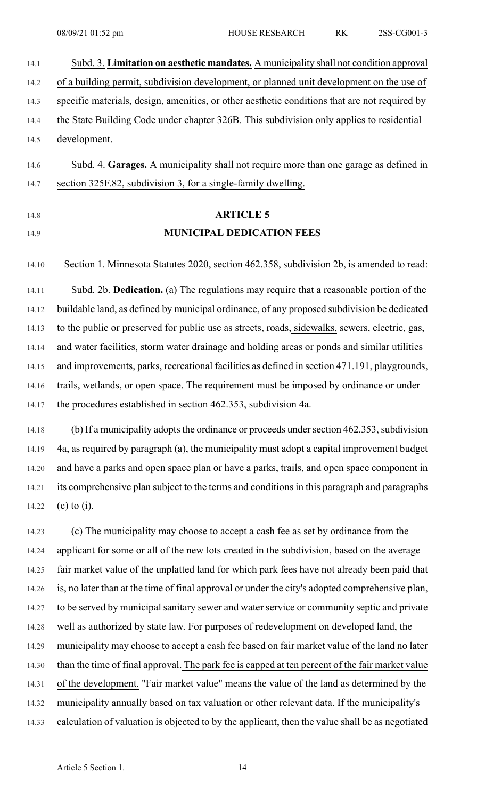| 14.1  | Subd. 3. Limitation on aesthetic mandates. A municipality shall not condition approval         |
|-------|------------------------------------------------------------------------------------------------|
| 14.2  | of a building permit, subdivision development, or planned unit development on the use of       |
| 14.3  | specific materials, design, amenities, or other aesthetic conditions that are not required by  |
| 14.4  | the State Building Code under chapter 326B. This subdivision only applies to residential       |
| 14.5  | development.                                                                                   |
| 14.6  | Subd. 4. Garages. A municipality shall not require more than one garage as defined in          |
| 14.7  | section 325F.82, subdivision 3, for a single-family dwelling.                                  |
|       |                                                                                                |
| 14.8  | <b>ARTICLE 5</b>                                                                               |
| 14.9  | <b>MUNICIPAL DEDICATION FEES</b>                                                               |
|       |                                                                                                |
| 14.10 | Section 1. Minnesota Statutes 2020, section 462.358, subdivision 2b, is amended to read:       |
| 14.11 | Subd. 2b. Dedication. (a) The regulations may require that a reasonable portion of the         |
| 14.12 | buildable land, as defined by municipal ordinance, of any proposed subdivision be dedicated    |
| 14.13 | to the public or preserved for public use as streets, roads, sidewalks, sewers, electric, gas, |
| 14.14 | and water facilities, storm water drainage and holding areas or ponds and similar utilities    |
| 14.15 | and improvements, parks, recreational facilities as defined in section 471.191, playgrounds,   |
| 14.16 | trails, wetlands, or open space. The requirement must be imposed by ordinance or under         |
| 14.17 | the procedures established in section 462.353, subdivision 4a.                                 |
| 14.18 | (b) If a municipality adopts the ordinance or proceeds under section 462.353, subdivision      |
| 14.19 | 4a, as required by paragraph (a), the municipality must adopt a capital improvement budget     |
| 14.20 | and have a parks and open space plan or have a parks, trails, and open space component in      |
| 14.21 | its comprehensive plan subject to the terms and conditions in this paragraph and paragraphs    |
| 14.22 | $(c)$ to $(i)$ .                                                                               |
|       |                                                                                                |

14.23 (c) The municipality may choose to accept a cash fee as set by ordinance from the 14.24 applicant for some or all of the new lots created in the subdivision, based on the average 14.25 fair market value of the unplatted land for which park fees have not already been paid that 14.26 is, no later than at the time of final approval or under the city's adopted comprehensive plan, 14.27 to be served by municipal sanitary sewer and water service or community septic and private 14.28 well as authorized by state law. For purposes of redevelopment on developed land, the 14.29 municipality may choose to accept a cash fee based on fair market value of the land no later 14.30 than the time of final approval. The park fee is capped at ten percent of the fair market value 14.31 of the development. "Fair market value" means the value of the land as determined by the 14.32 municipality annually based on tax valuation or other relevant data. If the municipality's 14.33 calculation of valuation is objected to by the applicant, then the value shall be as negotiated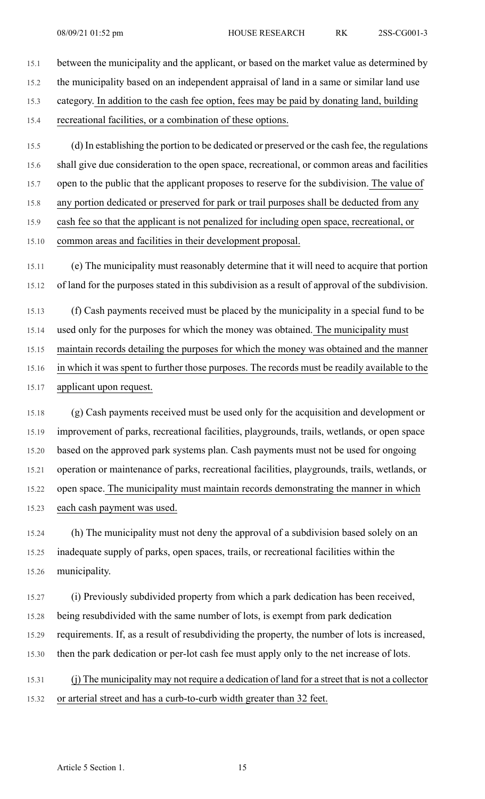15.5 (d) In establishing the portion to be dedicated or preserved or the cash fee, the regulations 15.6 shall give due consideration to the open space, recreational, or common areas and facilities 15.7 open to the public that the applicant proposes to reserve for the subdivision. The value of 15.8 any portion dedicated or preserved for park or trail purposes shall be deducted from any 15.9 cash fee so that the applicant is not penalized for including open space, recreational, or 15.10 common areas and facilities in their development proposal.

15.11 (e) The municipality must reasonably determine that it will need to acquire that portion 15.12 of land for the purposes stated in this subdivision as a result of approval of the subdivision.

15.13 (f) Cash payments received must be placed by the municipality in a special fund to be 15.14 used only for the purposes for which the money was obtained. The municipality must 15.15 maintain records detailing the purposes for which the money was obtained and the manner 15.16 in which it was spent to further those purposes. The records must be readily available to the 15.17 applicant upon request.

15.18 (g) Cash payments received must be used only for the acquisition and development or 15.19 improvement of parks, recreational facilities, playgrounds, trails, wetlands, or open space 15.20 based on the approved park systems plan. Cash payments must not be used for ongoing 15.21 operation or maintenance of parks, recreational facilities, playgrounds, trails, wetlands, or 15.22 open space. The municipality must maintain records demonstrating the manner in which 15.23 each cash payment was used.

15.24 (h) The municipality must not deny the approval of a subdivision based solely on an 15.25 inadequate supply of parks, open spaces, trails, or recreational facilities within the 15.26 municipality.

15.27 (i) Previously subdivided property from which a park dedication has been received, 15.28 being resubdivided with the same number of lots, is exempt from park dedication 15.29 requirements. If, as a result of resubdividing the property, the number of lots is increased, 15.30 then the park dedication or per-lot cash fee must apply only to the net increase of lots.

15.31 (j) The municipality may not require a dedication of land for a street that is not a collector 15.32 or arterial street and has a curb-to-curb width greater than 32 feet.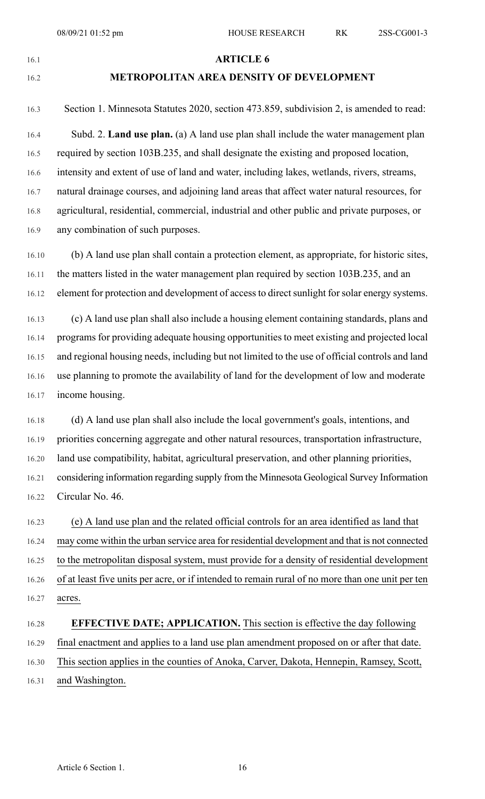#### 16.1 **ARTICLE 6**

## 16.2 **METROPOLITAN AREA DENSITY OF DEVELOPMENT**

- 16.3 Section 1. Minnesota Statutes 2020, section 473.859, subdivision 2, is amended to read: 16.4 Subd. 2. **Land use plan.** (a) A land use plan shall include the water management plan 16.5 required by section 103B.235, and shall designate the existing and proposed location, 16.6 intensity and extent of use of land and water, including lakes, wetlands, rivers, streams, 16.7 natural drainage courses, and adjoining land areas that affect water natural resources, for 16.8 agricultural, residential, commercial, industrial and other public and private purposes, or
- 16.9 any combination of such purposes.
- 16.10 (b) A land use plan shall contain a protection element, as appropriate, for historic sites, 16.11 the matters listed in the water management plan required by section 103B.235, and an 16.12 element for protection and development of access to direct sunlight for solar energy systems.
- 16.13 (c) A land use plan shall also include a housing element containing standards, plans and 16.14 programs for providing adequate housing opportunities to meet existing and projected local 16.15 and regional housing needs, including but not limited to the use of official controls and land 16.16 use planning to promote the availability of land for the development of low and moderate 16.17 income housing.
- 16.18 (d) A land use plan shall also include the local government's goals, intentions, and 16.19 priorities concerning aggregate and other natural resources, transportation infrastructure, 16.20 land use compatibility, habitat, agricultural preservation, and other planning priorities, 16.21 considering information regarding supply from the Minnesota Geological Survey Information 16.22 Circular No. 46.
- 16.23 (e) A land use plan and the related official controls for an area identified as land that 16.24 may come within the urban service area for residential development and that is not connected 16.25 to the metropolitan disposal system, must provide for a density of residential development 16.26 of at least five units per acre, or if intended to remain rural of no more than one unit per ten 16.27 acres.

## 16.28 **EFFECTIVE DATE; APPLICATION.** This section is effective the day following 16.29 final enactment and applies to a land use plan amendment proposed on or after that date. 16.30 This section applies in the counties of Anoka, Carver, Dakota, Hennepin, Ramsey, Scott, 16.31 and Washington.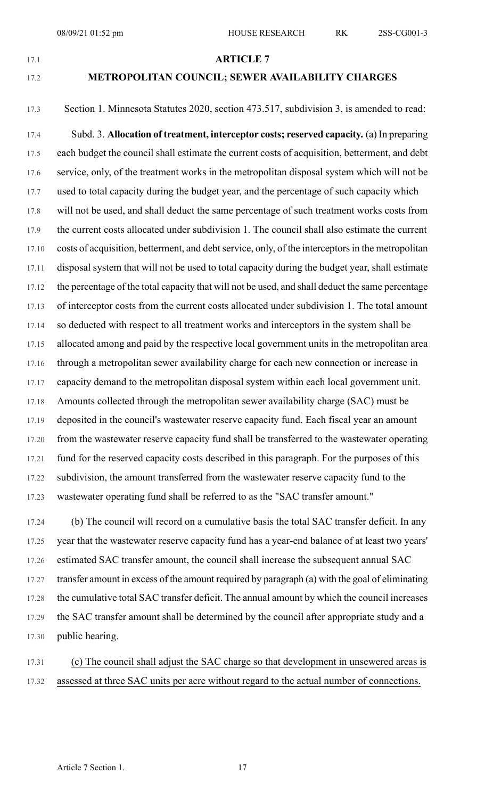### 17.1 **ARTICLE 7**

### 17.2 **METROPOLITAN COUNCIL; SEWER AVAILABILITY CHARGES**

# 17.3 Section 1. Minnesota Statutes 2020, section 473.517, subdivision 3, is amended to read:

17.4 Subd. 3. **Allocation of treatment, interceptor costs; reserved capacity.** (a) In preparing 17.5 each budget the council shall estimate the current costs of acquisition, betterment, and debt 17.6 service, only, of the treatment works in the metropolitan disposal system which will not be 17.7 used to total capacity during the budget year, and the percentage of such capacity which 17.8 will not be used, and shall deduct the same percentage of such treatment works costs from 17.9 the current costs allocated under subdivision 1. The council shall also estimate the current 17.10 costs of acquisition, betterment, and debt service, only, of the interceptors in the metropolitan 17.11 disposal system that will not be used to total capacity during the budget year, shall estimate 17.12 the percentage of the total capacity that will not be used, and shall deduct the same percentage 17.13 of interceptor costs from the current costs allocated under subdivision 1. The total amount 17.14 so deducted with respect to all treatment works and interceptors in the system shall be 17.15 allocated among and paid by the respective local government units in the metropolitan area 17.16 through a metropolitan sewer availability charge for each new connection or increase in 17.17 capacity demand to the metropolitan disposal system within each local government unit. 17.18 Amounts collected through the metropolitan sewer availability charge (SAC) must be 17.19 deposited in the council's wastewater reserve capacity fund. Each fiscal year an amount 17.20 from the wastewater reserve capacity fund shall be transferred to the wastewater operating 17.21 fund for the reserved capacity costs described in this paragraph. For the purposes of this 17.22 subdivision, the amount transferred from the wastewater reserve capacity fund to the 17.23 wastewater operating fund shall be referred to as the "SAC transfer amount."

17.24 (b) The council will record on a cumulative basis the total SAC transfer deficit. In any 17.25 year that the wastewater reserve capacity fund has a year-end balance of at least two years' 17.26 estimated SAC transfer amount, the council shall increase the subsequent annual SAC 17.27 transfer amount in excess of the amount required by paragraph (a) with the goal of eliminating 17.28 the cumulative total SAC transfer deficit. The annual amount by which the council increases 17.29 the SAC transfer amount shall be determined by the council after appropriate study and a 17.30 public hearing.

17.31 (c) The council shall adjust the SAC charge so that development in unsewered areas is 17.32 assessed at three SAC units per acre without regard to the actual number of connections.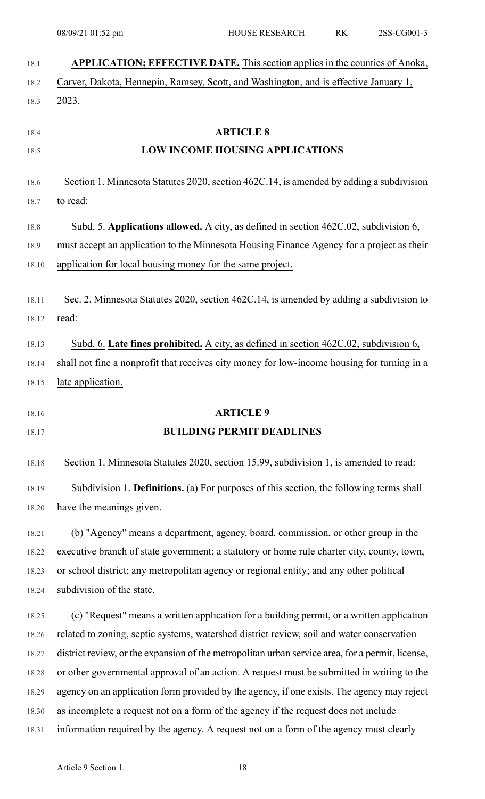|                                                                                                                            | APPLICATION; EFFECTIVE DATE. This section applies in the counties of Anoka,                      |
|----------------------------------------------------------------------------------------------------------------------------|--------------------------------------------------------------------------------------------------|
|                                                                                                                            | Carver, Dakota, Hennepin, Ramsey, Scott, and Washington, and is effective January 1,             |
|                                                                                                                            | 2023.                                                                                            |
|                                                                                                                            | <b>ARTICLE 8</b>                                                                                 |
|                                                                                                                            | <b>LOW INCOME HOUSING APPLICATIONS</b>                                                           |
|                                                                                                                            | Section 1. Minnesota Statutes 2020, section 462C.14, is amended by adding a subdivision          |
|                                                                                                                            | to read:                                                                                         |
|                                                                                                                            | Subd. 5. Applications allowed. A city, as defined in section 462C.02, subdivision 6,             |
|                                                                                                                            | must accept an application to the Minnesota Housing Finance Agency for a project as their        |
|                                                                                                                            | application for local housing money for the same project.                                        |
|                                                                                                                            | Sec. 2. Minnesota Statutes 2020, section 462C.14, is amended by adding a subdivision to          |
|                                                                                                                            | read:                                                                                            |
|                                                                                                                            | Subd. 6. Late fines prohibited. A city, as defined in section 462C.02, subdivision 6,            |
|                                                                                                                            | shall not fine a nonprofit that receives city money for low-income housing for turning in a      |
|                                                                                                                            | late application.                                                                                |
| 18.16                                                                                                                      | <b>ARTICLE 9</b>                                                                                 |
|                                                                                                                            |                                                                                                  |
|                                                                                                                            | <b>BUILDING PERMIT DEADLINES</b>                                                                 |
|                                                                                                                            | Section 1. Minnesota Statutes 2020, section 15.99, subdivision 1, is amended to read:            |
|                                                                                                                            | Subdivision 1. Definitions. (a) For purposes of this section, the following terms shall          |
|                                                                                                                            | have the meanings given.                                                                         |
|                                                                                                                            | (b) "Agency" means a department, agency, board, commission, or other group in the                |
|                                                                                                                            | executive branch of state government; a statutory or home rule charter city, county, town,       |
|                                                                                                                            | or school district; any metropolitan agency or regional entity; and any other political          |
|                                                                                                                            | subdivision of the state.                                                                        |
|                                                                                                                            | (c) "Request" means a written application for a building permit, or a written application        |
|                                                                                                                            | related to zoning, septic systems, watershed district review, soil and water conservation        |
|                                                                                                                            | district review, or the expansion of the metropolitan urban service area, for a permit, license, |
|                                                                                                                            | or other governmental approval of an action. A request must be submitted in writing to the       |
|                                                                                                                            | agency on an application form provided by the agency, if one exists. The agency may reject       |
|                                                                                                                            | as incomplete a request not on a form of the agency if the request does not include              |
| 18.17<br>18.18<br>18.19<br>18.20<br>18.22<br>18.23<br>18.24<br>18.25<br>18.26<br>18.27<br>18.28<br>18.29<br>18.30<br>18.31 | information required by the agency. A request not on a form of the agency must clearly           |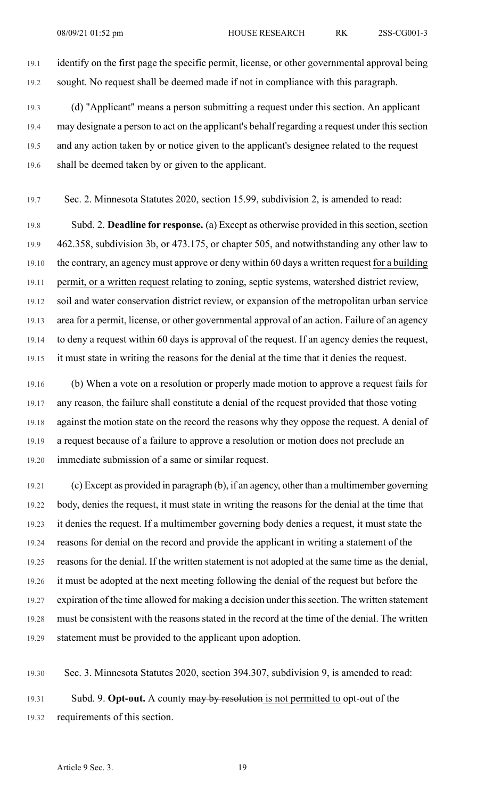19.1 identify on the first page the specific permit, license, or other governmental approval being 19.2 sought. No request shall be deemed made if not in compliance with this paragraph.

19.3 (d) "Applicant" means a person submitting a request under this section. An applicant 19.4 may designate a person to act on the applicant's behalf regarding a request under this section 19.5 and any action taken by or notice given to the applicant's designee related to the request 19.6 shall be deemed taken by or given to the applicant.

19.7 Sec. 2. Minnesota Statutes 2020, section 15.99, subdivision 2, is amended to read:

19.8 Subd. 2. **Deadline for response.** (a) Except as otherwise provided in thissection,section 19.9 462.358, subdivision 3b, or 473.175, or chapter 505, and notwithstanding any other law to 19.10 the contrary, an agency must approve or deny within 60 days a written request for a building 19.11 permit, or a written request relating to zoning, septic systems, watershed district review, 19.12 soil and water conservation district review, or expansion of the metropolitan urban service 19.13 area for a permit, license, or other governmental approval of an action. Failure of an agency 19.14 to deny a request within 60 days is approval of the request. If an agency denies the request, 19.15 it must state in writing the reasons for the denial at the time that it denies the request.

19.16 (b) When a vote on a resolution or properly made motion to approve a request fails for 19.17 any reason, the failure shall constitute a denial of the request provided that those voting 19.18 against the motion state on the record the reasons why they oppose the request. A denial of 19.19 a request because of a failure to approve a resolution or motion does not preclude an 19.20 immediate submission of a same or similar request.

19.21 (c) Except as provided in paragraph (b), if an agency, other than a multimember governing 19.22 body, denies the request, it must state in writing the reasons for the denial at the time that 19.23 it denies the request. If a multimember governing body denies a request, it must state the 19.24 reasons for denial on the record and provide the applicant in writing a statement of the 19.25 reasons for the denial. If the written statement is not adopted at the same time as the denial, 19.26 it must be adopted at the next meeting following the denial of the request but before the 19.27 expiration of the time allowed for making a decision under this section. The written statement 19.28 must be consistent with the reasons stated in the record at the time of the denial. The written 19.29 statement must be provided to the applicant upon adoption.

19.30 Sec. 3. Minnesota Statutes 2020, section 394.307, subdivision 9, is amended to read: 19.31 Subd. 9. **Opt-out.** A county may by resolution is not permitted to opt-out of the 19.32 requirements of this section.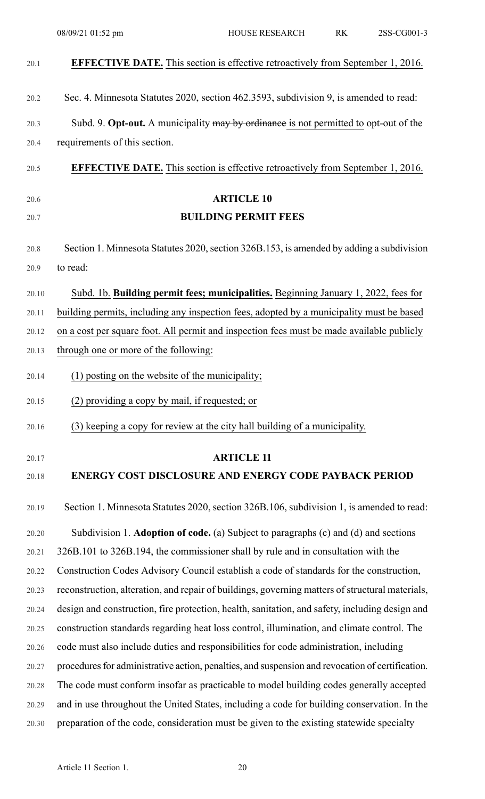| 20.1  | <b>EFFECTIVE DATE.</b> This section is effective retroactively from September 1, 2016.           |
|-------|--------------------------------------------------------------------------------------------------|
| 20.2  | Sec. 4. Minnesota Statutes 2020, section 462.3593, subdivision 9, is amended to read:            |
| 20.3  | Subd. 9. Opt-out. A municipality may by ordinance is not permitted to opt-out of the             |
| 20.4  | requirements of this section.                                                                    |
| 20.5  | <b>EFFECTIVE DATE.</b> This section is effective retroactively from September 1, 2016.           |
| 20.6  | <b>ARTICLE 10</b>                                                                                |
| 20.7  | <b>BUILDING PERMIT FEES</b>                                                                      |
| 20.8  | Section 1. Minnesota Statutes 2020, section 326B.153, is amended by adding a subdivision         |
| 20.9  | to read:                                                                                         |
| 20.10 | Subd. 1b. Building permit fees; municipalities. Beginning January 1, 2022, fees for              |
| 20.11 | building permits, including any inspection fees, adopted by a municipality must be based         |
| 20.12 | on a cost per square foot. All permit and inspection fees must be made available publicly        |
| 20.13 | through one or more of the following:                                                            |
| 20.14 | (1) posting on the website of the municipality;                                                  |
| 20.15 | (2) providing a copy by mail, if requested; or                                                   |
| 20.16 | (3) keeping a copy for review at the city hall building of a municipality.                       |
| 20.17 | <b>ARTICLE 11</b>                                                                                |
| 20.18 | <b>ENERGY COST DISCLOSURE AND ENERGY CODE PAYBACK PERIOD</b>                                     |
| 20.19 | Section 1. Minnesota Statutes 2020, section 326B.106, subdivision 1, is amended to read:         |
| 20.20 | Subdivision 1. Adoption of code. (a) Subject to paragraphs (c) and (d) and sections              |
| 20.21 | 326B.101 to 326B.194, the commissioner shall by rule and in consultation with the                |
| 20.22 | Construction Codes Advisory Council establish a code of standards for the construction,          |
| 20.23 | reconstruction, alteration, and repair of buildings, governing matters of structural materials,  |
| 20.24 | design and construction, fire protection, health, sanitation, and safety, including design and   |
| 20.25 | construction standards regarding heat loss control, illumination, and climate control. The       |
| 20.26 | code must also include duties and responsibilities for code administration, including            |
| 20.27 | procedures for administrative action, penalties, and suspension and revocation of certification. |
| 20.28 | The code must conform insofar as practicable to model building codes generally accepted          |
| 20.29 | and in use throughout the United States, including a code for building conservation. In the      |
| 20.30 | preparation of the code, consideration must be given to the existing statewide specialty         |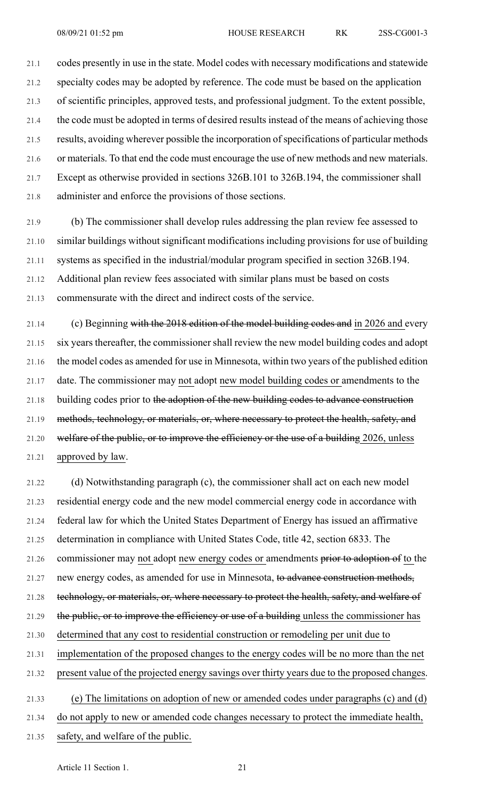21.1 codes presently in use in the state. Model codes with necessary modifications and statewide 21.2 specialty codes may be adopted by reference. The code must be based on the application 21.3 of scientific principles, approved tests, and professional judgment. To the extent possible, 21.4 the code must be adopted in terms of desired results instead of the means of achieving those 21.5 results, avoiding wherever possible the incorporation of specifications of particular methods 21.6 or materials. To that end the code must encourage the use of new methods and new materials. 21.7 Except as otherwise provided in sections 326B.101 to 326B.194, the commissioner shall 21.8 administer and enforce the provisions of those sections.

21.9 (b) The commissioner shall develop rules addressing the plan review fee assessed to 21.10 similar buildings without significant modifications including provisions for use of building 21.11 systems as specified in the industrial/modular program specified in section 326B.194. 21.12 Additional plan review fees associated with similar plans must be based on costs 21.13 commensurate with the direct and indirect costs of the service.

21.14 (c) Beginning with the 2018 edition of the model building codes and in 2026 and every 21.15 six years thereafter, the commissioner shall review the new model building codes and adopt 21.16 the model codes as amended for use in Minnesota, within two years of the published edition 21.17 date. The commissioner may not adopt new model building codes or amendments to the 21.18 building codes prior to the adoption of the new building codes to advance construction 21.19 methods, technology, or materials, or, where necessary to protect the health, safety, and 21.20 welfare of the public, or to improve the efficiency or the use of a building 2026, unless 21.21 approved by law.

21.22 (d) Notwithstanding paragraph (c), the commissioner shall act on each new model 21.23 residential energy code and the new model commercial energy code in accordance with 21.24 federal law for which the United States Department of Energy has issued an affirmative 21.25 determination in compliance with United States Code, title 42, section 6833. The 21.26 commissioner may not adopt new energy codes or amendments prior to adoption of to the 21.27 new energy codes, as amended for use in Minnesota, to advance construction methods, 21.28 technology, or materials, or, where necessary to protect the health, safety, and welfare of 21.29 the public, or to improve the efficiency or use of a building unless the commissioner has 21.30 determined that any cost to residential construction or remodeling per unit due to 21.31 implementation of the proposed changes to the energy codes will be no more than the net 21.32 present value of the projected energy savings over thirty years due to the proposed changes. 21.33 (e) The limitations on adoption of new or amended codes under paragraphs (c) and (d) 21.34 do not apply to new or amended code changes necessary to protect the immediate health,

21.35 safety, and welfare of the public.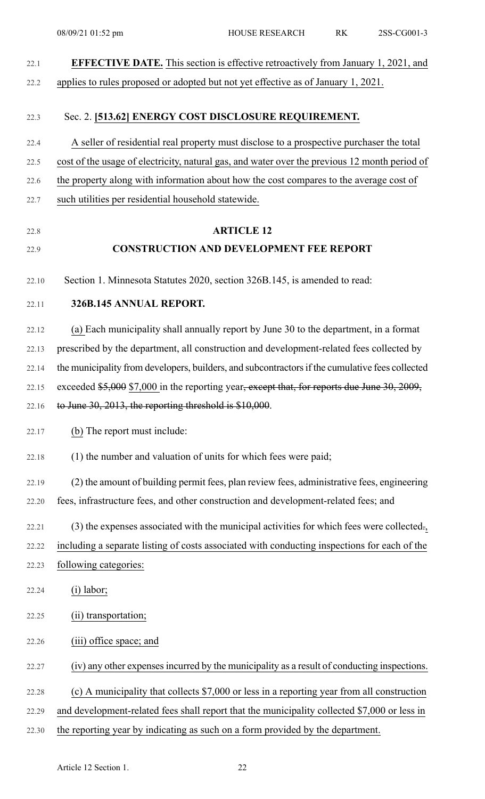| <b>EFFECTIVE DATE.</b> This section is effective retroactively from January 1, 2021, and        |
|-------------------------------------------------------------------------------------------------|
| applies to rules proposed or adopted but not yet effective as of January 1, 2021.               |
| Sec. 2. [513.62] ENERGY COST DISCLOSURE REQUIREMENT.                                            |
| A seller of residential real property must disclose to a prospective purchaser the total        |
| cost of the usage of electricity, natural gas, and water over the previous 12 month period of   |
| the property along with information about how the cost compares to the average cost of          |
| such utilities per residential household statewide.                                             |
| <b>ARTICLE 12</b>                                                                               |
| <b>CONSTRUCTION AND DEVELOPMENT FEE REPORT</b>                                                  |
| Section 1. Minnesota Statutes 2020, section 326B.145, is amended to read:                       |
| 326B.145 ANNUAL REPORT.                                                                         |
| (a) Each municipality shall annually report by June 30 to the department, in a format           |
| prescribed by the department, all construction and development-related fees collected by        |
| the municipality from developers, builders, and subcontractors if the cumulative fees collected |
| exceeded \$5,000 \$7,000 in the reporting year, except that, for reports due June 30, 2009,     |
| to June 30, 2013, the reporting threshold is \$10,000.                                          |
| (b) The report must include:                                                                    |
| (1) the number and valuation of units for which fees were paid;                                 |
| (2) the amount of building permit fees, plan review fees, administrative fees, engineering      |
| fees, infrastructure fees, and other construction and development-related fees; and             |
| (3) the expenses associated with the municipal activities for which fees were collected.        |
| including a separate listing of costs associated with conducting inspections for each of the    |
| following categories:                                                                           |
| $(i)$ labor;                                                                                    |
| (ii) transportation;                                                                            |
| (iii) office space; and                                                                         |
| (iv) any other expenses incurred by the municipality as a result of conducting inspections.     |
| (c) A municipality that collects \$7,000 or less in a reporting year from all construction      |
| and development-related fees shall report that the municipality collected \$7,000 or less in    |
| the reporting year by indicating as such on a form provided by the department.                  |